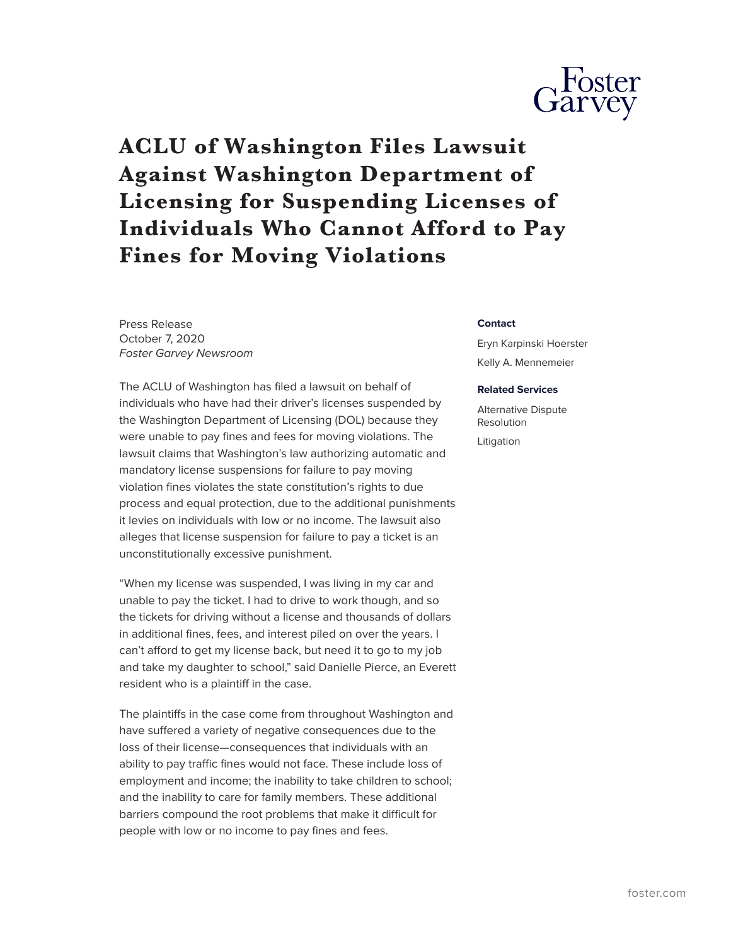

## **ACLU of Washington Files Lawsuit Against Washington Department of Licensing for Suspending Licenses of Individuals Who Cannot Afford to Pay Fines for Moving Violations**

Press Release October 7, 2020 *Foster Garvey Newsroom*

The ACLU of Washington has filed a lawsuit on behalf of individuals who have had their driver's licenses suspended by the Washington Department of Licensing (DOL) because they were unable to pay fines and fees for moving violations. The lawsuit claims that Washington's law authorizing automatic and mandatory license suspensions for failure to pay moving violation fines violates the state constitution's rights to due process and equal protection, due to the additional punishments it levies on individuals with low or no income. The lawsuit also alleges that license suspension for failure to pay a ticket is an unconstitutionally excessive punishment.

"When my license was suspended, I was living in my car and unable to pay the ticket. I had to drive to work though, and so the tickets for driving without a license and thousands of dollars in additional fines, fees, and interest piled on over the years. I can't afford to get my license back, but need it to go to my job and take my daughter to school," said Danielle Pierce, an Everett resident who is a plaintiff in the case.

The plaintiffs in the case come from throughout Washington and have suffered a variety of negative consequences due to the loss of their license—consequences that individuals with an ability to pay traffic fines would not face. These include loss of employment and income; the inability to take children to school; and the inability to care for family members. These additional barriers compound the root problems that make it difficult for people with low or no income to pay fines and fees.

## **Contact**

Eryn Karpinski Hoerster Kelly A. Mennemeier

## **Related Services**

Alternative Dispute Resolution Litigation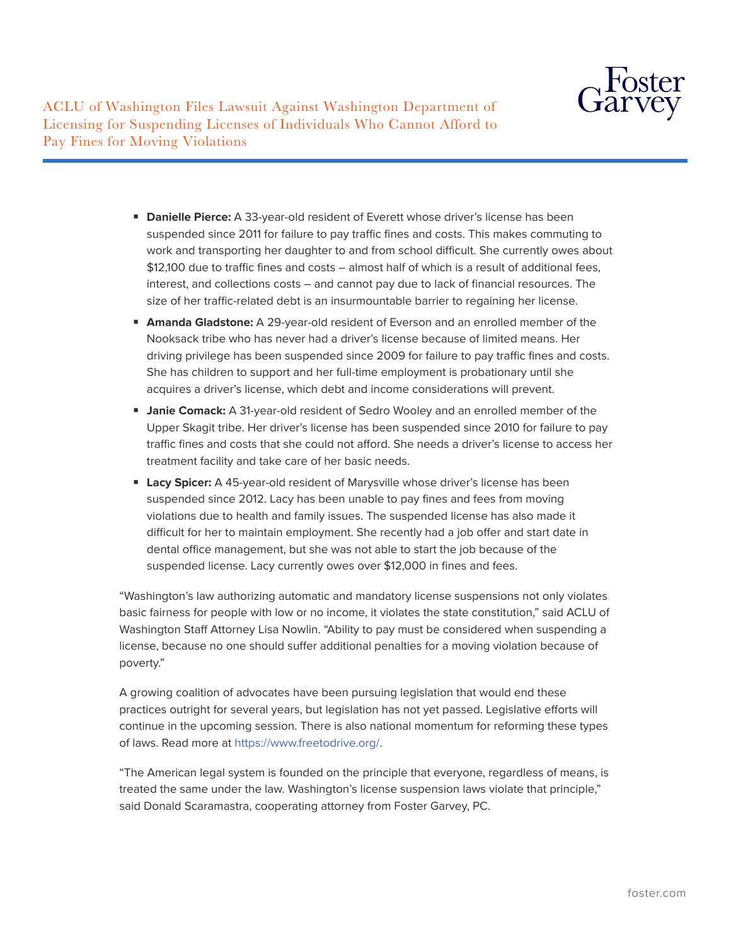

ACLU of Washington Files Lawsuit Against Washington Department of Licensing for Suspending Licenses of Individuals Who Cannot Afford to Pay Fines for Moving Violations

- **Danielle Pierce:** A 33-year-old resident of Everett whose driver's license has been suspended since 2011 for failure to pay traffic fines and costs. This makes commuting to work and transporting her daughter to and from school difficult. She currently owes about \$12,100 due to traffic fines and costs – almost half of which is a result of additional fees, interest, and collections costs – and cannot pay due to lack of financial resources. The size of her traffic-related debt is an insurmountable barrier to regaining her license.
- **Amanda Gladstone:** A 29-year-old resident of Everson and an enrolled member of the Nooksack tribe who has never had a driver's license because of limited means. Her driving privilege has been suspended since 2009 for failure to pay traffic fines and costs. She has children to support and her full-time employment is probationary until she acquires a driver's license, which debt and income considerations will prevent.
- **Janie Comack:** A 31-year-old resident of Sedro Wooley and an enrolled member of the Upper Skagit tribe. Her driver's license has been suspended since 2010 for failure to pay traffic fines and costs that she could not afford. She needs a driver's license to access her treatment facility and take care of her basic needs.
- **Lacy Spicer:** A 45-year-old resident of Marysville whose driver's license has been suspended since 2012. Lacy has been unable to pay fines and fees from moving violations due to health and family issues. The suspended license has also made it difficult for her to maintain employment. She recently had a job offer and start date in dental office management, but she was not able to start the job because of the suspended license. Lacy currently owes over \$12,000 in fines and fees.

"Washington's law authorizing automatic and mandatory license suspensions not only violates basic fairness for people with low or no income, it violates the state constitution," said ACLU of Washington Staff Attorney Lisa Nowlin. "Ability to pay must be considered when suspending a license, because no one should suffer additional penalties for a moving violation because of poverty."

A growing coalition of advocates have been pursuing legislation that would end these practices outright for several years, but legislation has not yet passed. Legislative efforts will continue in the upcoming session. There is also national momentum for reforming these types of laws. Read more at <https://www.freetodrive.org/>.

"The American legal system is founded on the principle that everyone, regardless of means, is treated the same under the law. Washington's license suspension laws violate that principle," said Donald Scaramastra, cooperating attorney from Foster Garvey, PC.